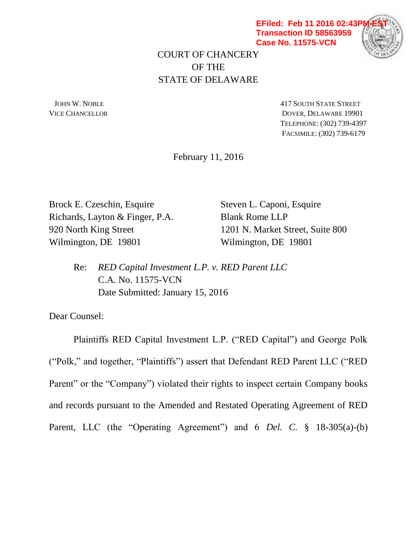**EFiled: Feb 11 2016 02:43P Transaction ID 58563959 Case No. 11575-VCN**



COURT OF CHANCERY OF THE STATE OF DELAWARE

**JOHN W. NOBLE** 417 SOUTH STATE STREET VICE CHANCELLOR DOVER, DELAWARE 19901 TELEPHONE: (302) 739-4397 FACSIMILE: (302) 739-6179

February 11, 2016

Brock E. Czeschin, Esquire Steven L. Caponi, Esquire Richards, Layton & Finger, P.A. Blank Rome LLP Wilmington, DE 19801 Wilmington, DE 19801

920 North King Street 1201 N. Market Street, Suite 800

Re: *RED Capital Investment L.P. v. RED Parent LLC*  C.A. No. 11575-VCN Date Submitted: January 15, 2016

Dear Counsel:

Plaintiffs RED Capital Investment L.P. ("RED Capital") and George Polk ("Polk," and together, "Plaintiffs") assert that Defendant RED Parent LLC ("RED Parent" or the "Company") violated their rights to inspect certain Company books and records pursuant to the Amended and Restated Operating Agreement of RED Parent, LLC (the "Operating Agreement") and 6 *Del. C.* § 18-305(a)-(b)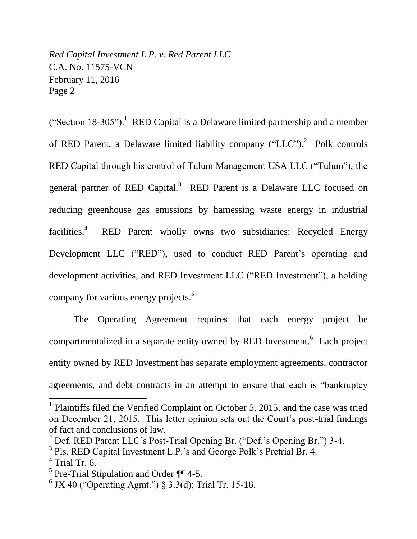("Section  $18-305$ ").<sup>1</sup> RED Capital is a Delaware limited partnership and a member of RED Parent, a Delaware limited liability company  $("LLC")$ .<sup>2</sup> Polk controls RED Capital through his control of Tulum Management USA LLC ("Tulum"), the general partner of RED Capital.<sup>3</sup> RED Parent is a Delaware LLC focused on reducing greenhouse gas emissions by harnessing waste energy in industrial facilities. 4 RED Parent wholly owns two subsidiaries: Recycled Energy Development LLC ("RED"), used to conduct RED Parent's operating and development activities, and RED Investment LLC ("RED Investment"), a holding company for various energy projects.<sup>5</sup>

The Operating Agreement requires that each energy project be compartmentalized in a separate entity owned by RED Investment.<sup>6</sup> Each project entity owned by RED Investment has separate employment agreements, contractor agreements, and debt contracts in an attempt to ensure that each is "bankruptcy

<sup>&</sup>lt;sup>1</sup> Plaintiffs filed the Verified Complaint on October 5, 2015, and the case was tried on December 21, 2015. This letter opinion sets out the Court's post-trial findings of fact and conclusions of law.

 $2^{2}$  Def. RED Parent LLC's Post-Trial Opening Br. ("Def.'s Opening Br.") 3-4.

<sup>&</sup>lt;sup>3</sup> Pls. RED Capital Investment L.P.'s and George Polk's Pretrial Br. 4.

<sup>4</sup> Trial Tr. 6.

<sup>&</sup>lt;sup>5</sup> Pre-Trial Stipulation and Order  $\P\P$  4-5.

 $6$  JX 40 ("Operating Agmt.") § 3.3(d); Trial Tr. 15-16.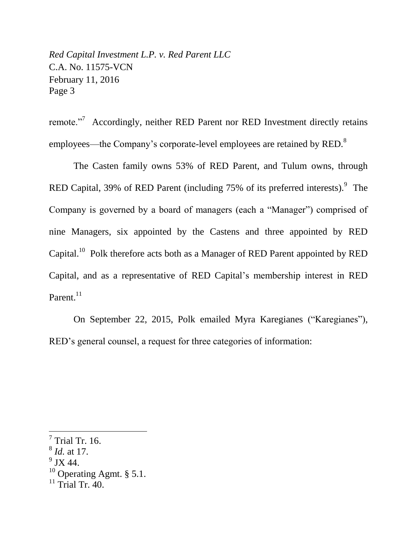remote."<sup>7</sup> Accordingly, neither RED Parent nor RED Investment directly retains employees—the Company's corporate-level employees are retained by RED.<sup>8</sup>

The Casten family owns 53% of RED Parent, and Tulum owns, through RED Capital, 39% of RED Parent (including  $75%$  of its preferred interests). $9$  The Company is governed by a board of managers (each a "Manager") comprised of nine Managers, six appointed by the Castens and three appointed by RED Capital.<sup>10</sup> Polk therefore acts both as a Manager of RED Parent appointed by RED Capital, and as a representative of RED Capital's membership interest in RED Parent.<sup>11</sup>

On September 22, 2015, Polk emailed Myra Karegianes ("Karegianes"), RED's general counsel, a request for three categories of information:

- 8 *Id.* at 17.
- $^9$  JX 44.

 $\overline{a}$ 

<sup>10</sup> Operating Agmt.  $\S 5.1$ .

 $7$  Trial Tr. 16.

 $11$  Trial Tr. 40.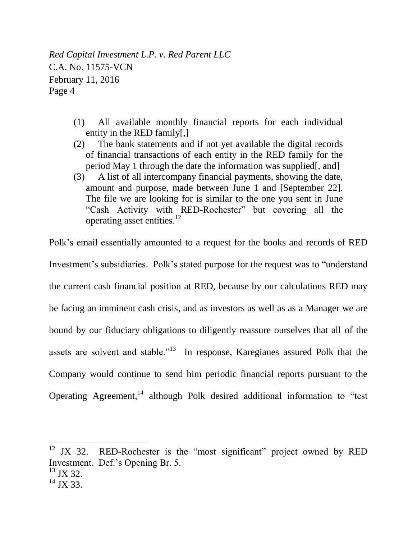- (1) All available monthly financial reports for each individual entity in the RED family[,]
- (2) The bank statements and if not yet available the digital records of financial transactions of each entity in the RED family for the period May 1 through the date the information was supplied[, and]
- (3) A list of all intercompany financial payments, showing the date, amount and purpose, made between June 1 and [September 22]. The file we are looking for is similar to the one you sent in June "Cash Activity with RED-Rochester" but covering all the operating asset entities.<sup>12</sup>

Polk's email essentially amounted to a request for the books and records of RED Investment's subsidiaries. Polk's stated purpose for the request was to "understand the current cash financial position at RED, because by our calculations RED may be facing an imminent cash crisis, and as investors as well as as a Manager we are bound by our fiduciary obligations to diligently reassure ourselves that all of the assets are solvent and stable."<sup>13</sup> In response, Karegianes assured Polk that the Company would continue to send him periodic financial reports pursuant to the Operating Agreement,<sup>14</sup> although Polk desired additional information to "test"

 $12$  JX 32. RED-Rochester is the "most significant" project owned by RED Investment. Def.'s Opening Br. 5.  $^{13}$  JX 32.

 $14$  JX 33.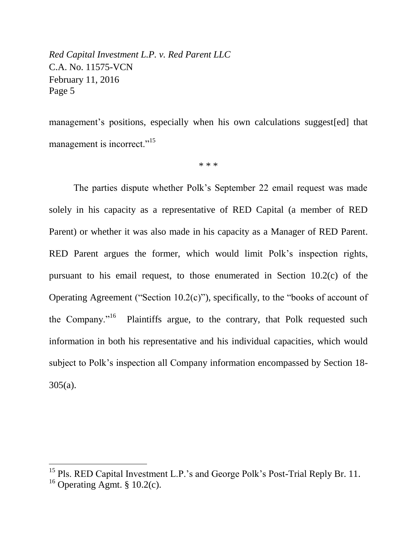management's positions, especially when his own calculations suggest[ed] that management is incorrect."<sup>15</sup>

\* \* \*

The parties dispute whether Polk's September 22 email request was made solely in his capacity as a representative of RED Capital (a member of RED Parent) or whether it was also made in his capacity as a Manager of RED Parent. RED Parent argues the former, which would limit Polk's inspection rights, pursuant to his email request, to those enumerated in Section 10.2(c) of the Operating Agreement ("Section 10.2(c)"), specifically, to the "books of account of the Company."<sup>16</sup> Plaintiffs argue, to the contrary, that Polk requested such information in both his representative and his individual capacities, which would subject to Polk's inspection all Company information encompassed by Section 18- 305(a).

<sup>&</sup>lt;sup>15</sup> Pls. RED Capital Investment L.P.'s and George Polk's Post-Trial Reply Br. 11.

 $16$  Operating Agmt. § 10.2(c).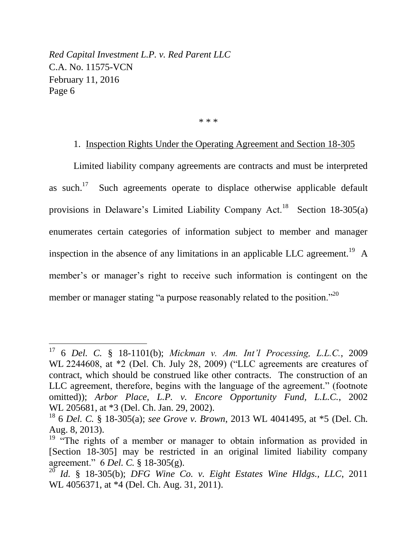$\overline{a}$ 

\* \* \*

# 1. Inspection Rights Under the Operating Agreement and Section 18-305

Limited liability company agreements are contracts and must be interpreted as such. $17$  Such agreements operate to displace otherwise applicable default provisions in Delaware's Limited Liability Company Act.<sup>18</sup> Section 18-305(a) enumerates certain categories of information subject to member and manager inspection in the absence of any limitations in an applicable LLC agreement.<sup>19</sup> A member's or manager's right to receive such information is contingent on the member or manager stating "a purpose reasonably related to the position."<sup>20</sup>

<sup>17</sup> 6 *Del. C.* § 18-1101(b); *Mickman v. Am. Int'l Processing, L.L.C.*, 2009 WL 2244608, at \*2 (Del. Ch. July 28, 2009) ("LLC agreements are creatures of contract, which should be construed like other contracts. The construction of an LLC agreement, therefore, begins with the language of the agreement." (footnote omitted)); *Arbor Place, L.P. v. Encore Opportunity Fund, L.L.C.*, 2002 WL 205681, at \*3 (Del. Ch. Jan. 29, 2002).

<sup>18</sup> 6 *Del. C.* § 18-305(a); *see Grove v. Brown*, 2013 WL 4041495, at \*5 (Del. Ch. Aug. 8, 2013).

<sup>&</sup>lt;sup>19</sup> "The rights of a member or manager to obtain information as provided in [Section 18-305] may be restricted in an original limited liability company agreement." 6 *Del. C.* § 18-305(g).

 $^{20}$  *Id.* § 18-305(b); *DFG Wine Co. v. Eight Estates Wine Hldgs., LLC*, 2011 WL 4056371, at \*4 (Del. Ch. Aug. 31, 2011).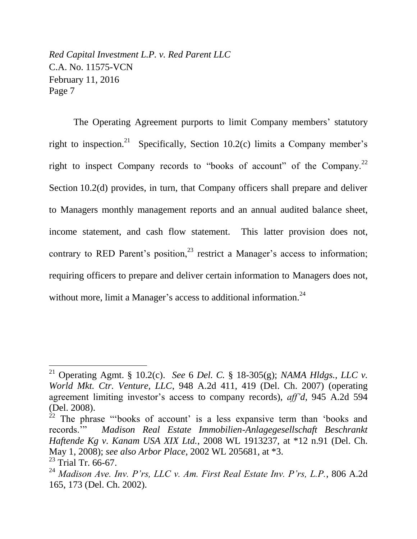The Operating Agreement purports to limit Company members' statutory right to inspection.<sup>21</sup> Specifically, Section 10.2(c) limits a Company member's right to inspect Company records to "books of account" of the Company.<sup>22</sup> Section 10.2(d) provides, in turn, that Company officers shall prepare and deliver to Managers monthly management reports and an annual audited balance sheet, income statement, and cash flow statement. This latter provision does not, contrary to RED Parent's position, $23$  restrict a Manager's access to information; requiring officers to prepare and deliver certain information to Managers does not, without more, limit a Manager's access to additional information.<sup>24</sup>

<sup>21</sup> Operating Agmt. § 10.2(c). *See* 6 *Del. C.* § 18-305(g); *NAMA Hldgs., LLC v. World Mkt. Ctr. Venture, LLC*, 948 A.2d 411, 419 (Del. Ch. 2007) (operating agreement limiting investor's access to company records), *aff'd*, 945 A.2d 594 (Del. 2008).

 $22$  The phrase "books of account' is a less expansive term than 'books and records.'" *Madison Real Estate Immobilien-Anlagegesellschaft Beschrankt Haftende Kg v. Kanam USA XIX Ltd.*, 2008 WL 1913237, at \*12 n.91 (Del. Ch. May 1, 2008); *see also Arbor Place*, 2002 WL 205681, at \*3.

 $^{23}$  Trial Tr. 66-67.

<sup>24</sup> *Madison Ave. Inv. P'rs, LLC v. Am. First Real Estate Inv. P'rs, L.P.*, 806 A.2d 165, 173 (Del. Ch. 2002).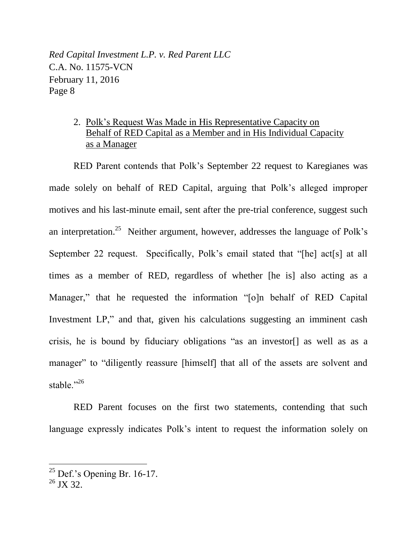# 2. Polk's Request Was Made in His Representative Capacity on Behalf of RED Capital as a Member and in His Individual Capacity as a Manager

RED Parent contends that Polk's September 22 request to Karegianes was made solely on behalf of RED Capital, arguing that Polk's alleged improper motives and his last-minute email, sent after the pre-trial conference, suggest such an interpretation.<sup>25</sup> Neither argument, however, addresses the language of Polk's September 22 request. Specifically, Polk's email stated that "[he] act[s] at all times as a member of RED, regardless of whether [he is] also acting as a Manager," that he requested the information "[o]n behalf of RED Capital Investment LP," and that, given his calculations suggesting an imminent cash crisis, he is bound by fiduciary obligations "as an investor[] as well as as a manager" to "diligently reassure [himself] that all of the assets are solvent and stable."<sup>26</sup>

RED Parent focuses on the first two statements, contending that such language expressly indicates Polk's intent to request the information solely on

 $25$  Def.'s Opening Br. 16-17.

<sup>&</sup>lt;sup>26</sup> JX 32.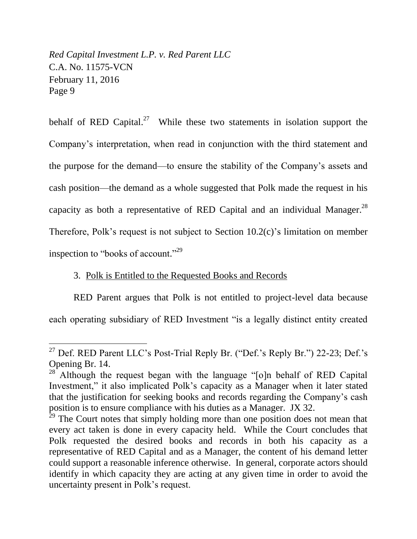$\overline{a}$ 

behalf of RED Capital.<sup>27</sup> While these two statements in isolation support the Company's interpretation, when read in conjunction with the third statement and the purpose for the demand—to ensure the stability of the Company's assets and cash position—the demand as a whole suggested that Polk made the request in his capacity as both a representative of RED Capital and an individual Manager.<sup>28</sup> Therefore, Polk's request is not subject to Section 10.2(c)'s limitation on member inspection to "books of account."<sup>29</sup>

### 3. Polk is Entitled to the Requested Books and Records

RED Parent argues that Polk is not entitled to project-level data because each operating subsidiary of RED Investment "is a legally distinct entity created

<sup>&</sup>lt;sup>27</sup> Def. RED Parent LLC's Post-Trial Reply Br. ("Def.'s Reply Br.") 22-23; Def.'s Opening Br. 14.

 $28^{\circ}$  Although the request began with the language "[o]n behalf of RED Capital Investment," it also implicated Polk's capacity as a Manager when it later stated that the justification for seeking books and records regarding the Company's cash position is to ensure compliance with his duties as a Manager. JX 32.

 $29$ <sup>29</sup> The Court notes that simply holding more than one position does not mean that every act taken is done in every capacity held. While the Court concludes that Polk requested the desired books and records in both his capacity as a representative of RED Capital and as a Manager, the content of his demand letter could support a reasonable inference otherwise. In general, corporate actors should identify in which capacity they are acting at any given time in order to avoid the uncertainty present in Polk's request.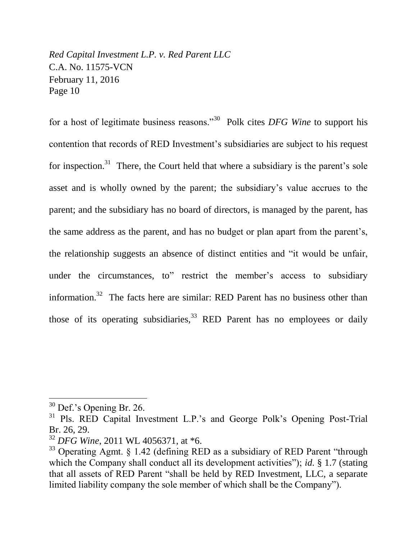for a host of legitimate business reasons."<sup>30</sup> Polk cites *DFG Wine* to support his contention that records of RED Investment's subsidiaries are subject to his request for inspection.<sup>31</sup> There, the Court held that where a subsidiary is the parent's sole asset and is wholly owned by the parent; the subsidiary's value accrues to the parent; and the subsidiary has no board of directors, is managed by the parent, has the same address as the parent, and has no budget or plan apart from the parent's, the relationship suggests an absence of distinct entities and "it would be unfair, under the circumstances, to" restrict the member's access to subsidiary information.<sup>32</sup> The facts here are similar: RED Parent has no business other than those of its operating subsidiaries,  $33$  RED Parent has no employees or daily

 $30$  Def.'s Opening Br. 26.

<sup>&</sup>lt;sup>31</sup> Pls. RED Capital Investment L.P.'s and George Polk's Opening Post-Trial Br. 26, 29.

<sup>32</sup> *DFG Wine*, 2011 WL 4056371, at \*6.

<sup>&</sup>lt;sup>33</sup> Operating Agmt. § 1.42 (defining RED as a subsidiary of RED Parent "through which the Company shall conduct all its development activities"); *id.* § 1.7 (stating that all assets of RED Parent "shall be held by RED Investment, LLC, a separate limited liability company the sole member of which shall be the Company").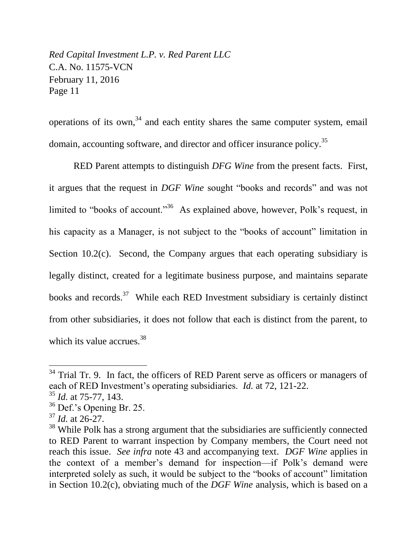operations of its own, $34$  and each entity shares the same computer system, email domain, accounting software, and director and officer insurance policy.<sup>35</sup>

RED Parent attempts to distinguish *DFG Wine* from the present facts. First, it argues that the request in *DGF Wine* sought "books and records" and was not limited to "books of account."<sup>36</sup> As explained above, however, Polk's request, in his capacity as a Manager, is not subject to the "books of account" limitation in Section 10.2(c). Second, the Company argues that each operating subsidiary is legally distinct, created for a legitimate business purpose, and maintains separate books and records.<sup>37</sup> While each RED Investment subsidiary is certainly distinct from other subsidiaries, it does not follow that each is distinct from the parent, to which its value accrues.<sup>38</sup>

 $34$  Trial Tr. 9. In fact, the officers of RED Parent serve as officers or managers of each of RED Investment's operating subsidiaries. *Id.* at 72, 121-22.

<sup>35</sup> *Id.* at 75-77, 143.

 $36$  Def.'s Opening Br. 25.

<sup>37</sup> *Id.* at 26-27.

<sup>&</sup>lt;sup>38</sup> While Polk has a strong argument that the subsidiaries are sufficiently connected to RED Parent to warrant inspection by Company members, the Court need not reach this issue. *See infra* note 43 and accompanying text. *DGF Wine* applies in the context of a member's demand for inspection—if Polk's demand were interpreted solely as such, it would be subject to the "books of account" limitation in Section 10.2(c), obviating much of the *DGF Wine* analysis, which is based on a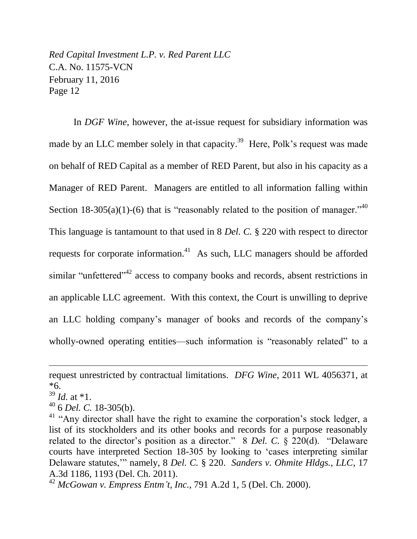In *DGF Wine*, however, the at-issue request for subsidiary information was made by an LLC member solely in that capacity.<sup>39</sup> Here, Polk's request was made on behalf of RED Capital as a member of RED Parent, but also in his capacity as a Manager of RED Parent. Managers are entitled to all information falling within Section 18-305(a)(1)-(6) that is "reasonably related to the position of manager."<sup>40</sup> This language is tantamount to that used in 8 *Del. C.* § 220 with respect to director requests for corporate information.<sup>41</sup> As such, LLC managers should be afforded similar "unfettered"<sup>42</sup> access to company books and records, absent restrictions in an applicable LLC agreement. With this context, the Court is unwilling to deprive an LLC holding company's manager of books and records of the company's wholly-owned operating entities—such information is "reasonably related" to a

 $39$  *Id.* at \*1.

 $\overline{a}$ 

<sup>40</sup> 6 *Del. C.* 18-305(b).

request unrestricted by contractual limitations. *DFG Wine*, 2011 WL 4056371, at \*6.

 $41$  "Any director shall have the right to examine the corporation's stock ledger, a list of its stockholders and its other books and records for a purpose reasonably related to the director's position as a director." 8 *Del. C.* § 220(d). "Delaware courts have interpreted Section 18-305 by looking to 'cases interpreting similar Delaware statutes,'" namely, 8 *Del. C.* § 220. *Sanders v. Ohmite Hldgs., LLC*, 17 A.3d 1186, 1193 (Del. Ch. 2011).

<sup>42</sup> *McGowan v. Empress Entm't, Inc.*, 791 A.2d 1, 5 (Del. Ch. 2000).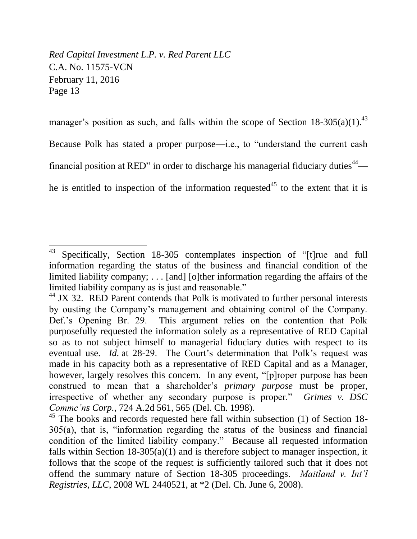$\overline{a}$ 

manager's position as such, and falls within the scope of Section  $18-305(a)(1)$ .<sup>43</sup>

Because Polk has stated a proper purpose—i.e., to "understand the current cash

financial position at RED" in order to discharge his managerial fiduciary duties<sup>44</sup>—

he is entitled to inspection of the information requested<sup>45</sup> to the extent that it is

 $43$  Specifically, Section 18-305 contemplates inspection of "[t] rue and full information regarding the status of the business and financial condition of the limited liability company; . . . [and] [o]ther information regarding the affairs of the limited liability company as is just and reasonable."

 $44$  JX 32. RED Parent contends that Polk is motivated to further personal interests by ousting the Company's management and obtaining control of the Company. Def.'s Opening Br. 29. This argument relies on the contention that Polk purposefully requested the information solely as a representative of RED Capital so as to not subject himself to managerial fiduciary duties with respect to its eventual use. *Id.* at 28-29. The Court's determination that Polk's request was made in his capacity both as a representative of RED Capital and as a Manager, however, largely resolves this concern. In any event, "[p]roper purpose has been construed to mean that a shareholder's *primary purpose* must be proper, irrespective of whether any secondary purpose is proper." *Grimes v. DSC Commc'ns Corp.*, 724 A.2d 561, 565 (Del. Ch. 1998).

 $45$  The books and records requested here fall within subsection (1) of Section 18-305(a), that is, "information regarding the status of the business and financial condition of the limited liability company." Because all requested information falls within Section  $18-305(a)(1)$  and is therefore subject to manager inspection, it follows that the scope of the request is sufficiently tailored such that it does not offend the summary nature of Section 18-305 proceedings. *Maitland v. Int'l Registries, LLC*, 2008 WL 2440521, at \*2 (Del. Ch. June 6, 2008).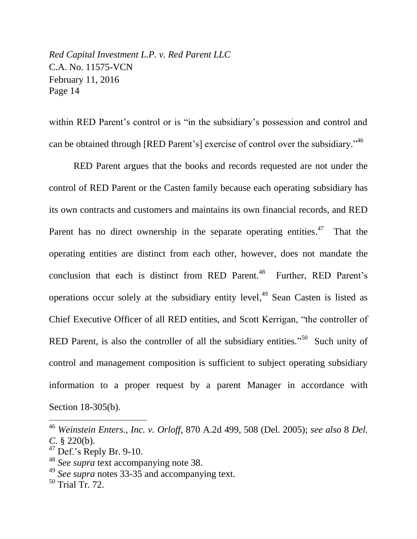within RED Parent's control or is "in the subsidiary's possession and control and can be obtained through [RED Parent's] exercise of control over the subsidiary."<sup>46</sup>

RED Parent argues that the books and records requested are not under the control of RED Parent or the Casten family because each operating subsidiary has its own contracts and customers and maintains its own financial records, and RED Parent has no direct ownership in the separate operating entities.<sup>47</sup> That the operating entities are distinct from each other, however, does not mandate the conclusion that each is distinct from RED Parent.<sup>48</sup> Further, RED Parent's operations occur solely at the subsidiary entity level, <sup>49</sup> Sean Casten is listed as Chief Executive Officer of all RED entities, and Scott Kerrigan, "the controller of RED Parent, is also the controller of all the subsidiary entities."<sup>50</sup> Such unity of control and management composition is sufficient to subject operating subsidiary information to a proper request by a parent Manager in accordance with Section 18-305(b).

<sup>46</sup> *Weinstein Enters., Inc. v. Orloff*, 870 A.2d 499, 508 (Del. 2005); *see also* 8 *Del. C.* § 220(b).

 $47$  Def.'s Reply Br. 9-10.

<sup>48</sup> *See supra* text accompanying note 38.

<sup>49</sup> *See supra* notes 33-35 and accompanying text.

 $50$  Trial Tr. 72.